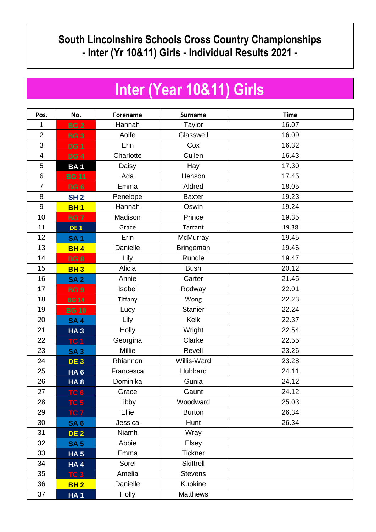## **South Lincolnshire Schools Cross Country Championships - Inter (Yr 10&11) Girls - Individual Results 2021 -**

## **Inter (Year 10&11) Girls**

| Pos.             | No.             | Forename  | <b>Surname</b>   | <b>Time</b> |
|------------------|-----------------|-----------|------------------|-------------|
| 1                | <b>BG2</b>      | Hannah    | Taylor           | 16.07       |
| $\overline{2}$   | <b>BG3</b>      | Aoife     | Glasswell        | 16.09       |
| 3                | <b>BG1</b>      | Erin      | Cox              | 16.32       |
| $\overline{4}$   | <b>BG4</b>      | Charlotte | Cullen           | 16.43       |
| 5                | <b>BA1</b>      | Daisy     | Hay              | 17.30       |
| 6                | <b>BG 11</b>    | Ada       | Henson           | 17.45       |
| $\overline{7}$   | <b>BG 6</b>     | Emma      | Aldred           | 18.05       |
| 8                | <b>SH 2</b>     | Penelope  | <b>Baxter</b>    | 19.23       |
| $\boldsymbol{9}$ | <b>BH1</b>      | Hannah    | Oswin            | 19.24       |
| 10               | <b>BG7</b>      | Madison   | Prince           | 19.35       |
| 11               | <b>DE1</b>      | Grace     | Tarrant          | 19.38       |
| 12               | <b>SA1</b>      | Erin      | McMurray         | 19.45       |
| 13               | <b>BH4</b>      | Danielle  | <b>Bringeman</b> | 19.46       |
| 14               | <b>BG8</b>      | Lily      | Rundle           | 19.47       |
| 15               | <b>BH3</b>      | Alicia    | <b>Bush</b>      | 20.12       |
| 16               | <b>SA2</b>      | Annie     | Carter           | 21.45       |
| 17               | <b>BG9</b>      | Isobel    | Rodway           | 22.01       |
| 18               | <b>BG 14</b>    | Tiffany   | Wong             | 22.23       |
| 19               | <b>BG 10</b>    | Lucy      | <b>Stanier</b>   | 22.24       |
| 20               | <b>SA4</b>      | Lily      | Kelk             | 22.37       |
| 21               | <b>HA3</b>      | Holly     | Wright           | 22.54       |
| 22               | TC <sub>1</sub> | Georgina  | Clarke           | 22.55       |
| 23               | <b>SA3</b>      | Millie    | Revell           | 23.26       |
| 24               | DE <sub>3</sub> | Rhiannon  | Willis-Ward      | 23.28       |
| 25               | HA <sub>6</sub> | Francesca | Hubbard          | 24.11       |
| 26               | <b>HA8</b>      | Dominika  | Gunia            | 24.12       |
| 27               | TC 6            | Grace     | Gaunt            | 24.12       |
| 28               | TC <sub>5</sub> | Libby     | Woodward         | 25.03       |
| 29               | TC <sub>7</sub> | Ellie     | <b>Burton</b>    | 26.34       |
| 30               | <b>SA 6</b>     | Jessica   | Hunt             | 26.34       |
| 31               | <b>DE 2</b>     | Niamh     | Wray             |             |
| 32               | <b>SA 5</b>     | Abbie     | Elsey            |             |
| 33               | <b>HA5</b>      | Emma      | <b>Tickner</b>   |             |
| 34               | <b>HA4</b>      | Sorel     | <b>Skittrell</b> |             |
| 35               | TC <sub>3</sub> | Amelia    | <b>Stevens</b>   |             |
| 36               | <b>BH2</b>      | Danielle  | <b>Kupkine</b>   |             |
| 37               | <b>HA1</b>      | Holly     | <b>Matthews</b>  |             |